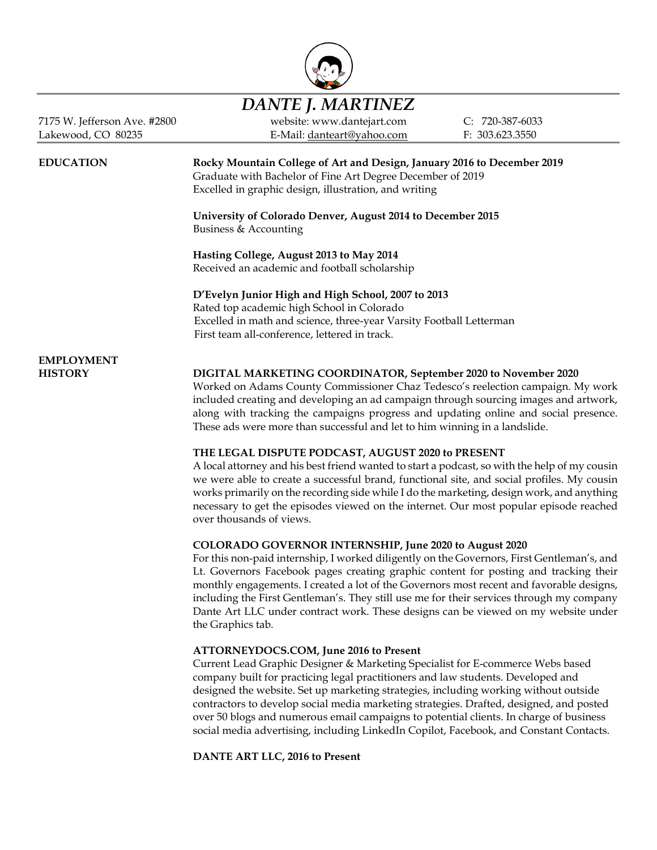

# *DANTE J. MARTINEZ*

7175 W. Jefferson Ave. #2800 website: www.dantejart.com C: 720-387-6033 Lakewood, CO 80235 E-Mail[: danteart@yahoo.com](mailto:dante@attorneydocs.com) F: 303.623.3550

**EDUCATION Rocky Mountain College of Art and Design, January 2016 to December 2019** Graduate with Bachelor of Fine Art Degree December of 2019 Excelled in graphic design, illustration, and writing

> **University of Colorado Denver, August 2014 to December 2015** Business & Accounting

**Hasting College, August 2013 to May 2014** Received an academic and football scholarship

**D'Evelyn Junior High and High School, 2007 to 2013**

Rated top academic high School in Colorado Excelled in math and science, three-year Varsity Football Letterman First team all-conference, lettered in track.

# **EMPLOYMENT**

# **HISTORY DIGITAL MARKETING COORDINATOR, September 2020 to November 2020**

Worked on Adams County Commissioner Chaz Tedesco's reelection campaign. My work included creating and developing an ad campaign through sourcing images and artwork, along with tracking the campaigns progress and updating online and social presence. These ads were more than successful and let to him winning in a landslide.

# **THE LEGAL DISPUTE PODCAST, AUGUST 2020 to PRESENT**

A local attorney and his best friend wanted to start a podcast, so with the help of my cousin we were able to create a successful brand, functional site, and social profiles. My cousin works primarily on the recording side while I do the marketing, design work, and anything necessary to get the episodes viewed on the internet. Our most popular episode reached over thousands of views.

# **COLORADO GOVERNOR INTERNSHIP, June 2020 to August 2020**

For this non-paid internship, I worked diligently on the Governors, First Gentleman's, and Lt. Governors Facebook pages creating graphic content for posting and tracking their monthly engagements. I created a lot of the Governors most recent and favorable designs, including the First Gentleman's. They still use me for their services through my company Dante Art LLC under contract work. These designs can be viewed on my website under the Graphics tab.

# **ATTORNEYDOCS.COM, June 2016 to Present**

Current Lead Graphic Designer & Marketing Specialist for E-commerce Webs based company built for practicing legal practitioners and law students. Developed and designed the website. Set up marketing strategies, including working without outside contractors to develop social media marketing strategies. Drafted, designed, and posted over 50 blogs and numerous email campaigns to potential clients. In charge of business social media advertising, including LinkedIn Copilot, Facebook, and Constant Contacts.

**DANTE ART LLC, 2016 to Present**